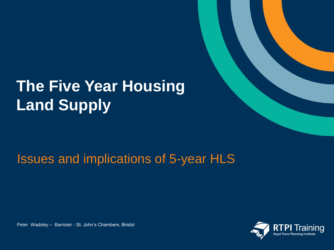# **The Five Year Housing Land Supply**

## Issues and implications of 5-year HLS

Peter Wadsley – Barrister - St. John's Chambers, Bristol

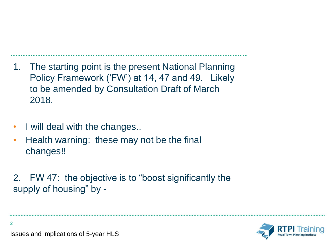- 1. The starting point is the present National Planning Policy Framework ('FW') at 14, 47 and 49. Likely to be amended by Consultation Draft of March 2018.
- I will deal with the changes..
- Health warning: these may not be the final changes!!
- 2. FW 47: the objective is to "boost significantly the supply of housing" by -

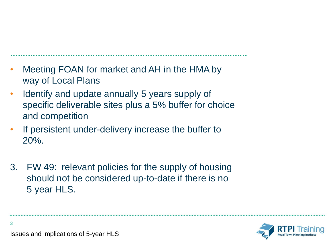- Meeting FOAN for market and AH in the HMA by way of Local Plans
- Identify and update annually 5 years supply of specific deliverable sites plus a 5% buffer for choice and competition
- If persistent under-delivery increase the buffer to 20%.
- 3. FW 49: relevant policies for the supply of housing should not be considered up-to-date if there is no 5 year HLS.

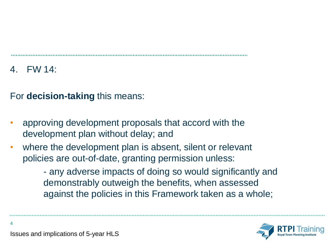4. FW 14:

4

For **decision-taking** this means:

- approving development proposals that accord with the development plan without delay; and
- where the development plan is absent, silent or relevant policies are out-of-date, granting permission unless:

- any adverse impacts of doing so would significantly and demonstrably outweigh the benefits, when assessed against the policies in this Framework taken as a whole;

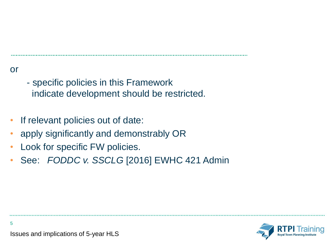### or

- specific policies in this Framework indicate development should be restricted.
- If relevant policies out of date:
- apply significantly and demonstrably OR
- Look for specific FW policies.
- See: *FODDC v. SSCLG* [2016] EWHC 421 Admin

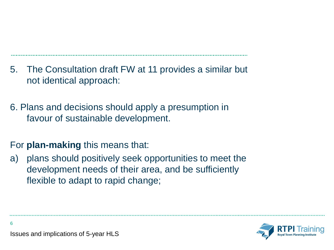- 5. The Consultation draft FW at 11 provides a similar but not identical approach:
- 6. Plans and decisions should apply a presumption in favour of sustainable development.

### For **plan-making** this means that:

a) plans should positively seek opportunities to meet the development needs of their area, and be sufficiently flexible to adapt to rapid change;



Issues and implications of 5-year HLS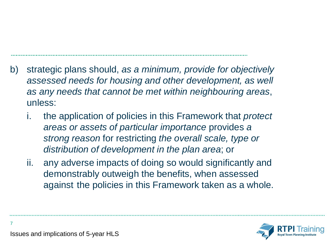- b) strategic plans should, *as a minimum, provide for objectively assessed needs for housing and other development, as well as any needs that cannot be met within neighbouring areas*, unless:
	- i. the application of policies in this Framework that *protect areas or assets of particular importance* provides *a strong reason* for restricting *the overall scale, type or distribution of development in the plan area*; or
	- ii. any adverse impacts of doing so would significantly and demonstrably outweigh the benefits, when assessed against the policies in this Framework taken as a whole.

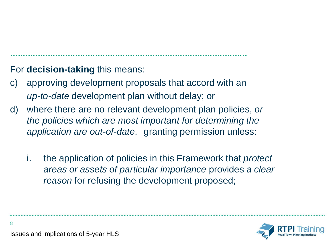### For **decision-taking** this means:

- c) approving development proposals that accord with an *up-to-date* development plan without delay; or
- d) where there are no relevant development plan policies, *or the policies which are most important for determining the application are out-of-date*, granting permission unless:
	- i. the application of policies in this Framework that *protect areas or assets of particular importance* provides *a clear reason* for refusing the development proposed;

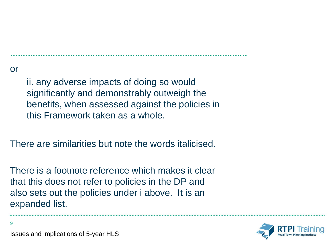or

9

ii. any adverse impacts of doing so would significantly and demonstrably outweigh the benefits, when assessed against the policies in this Framework taken as a whole.

There are similarities but note the words italicised.

There is a footnote reference which makes it clear that this does not refer to policies in the DP and also sets out the policies under i above. It is an expanded list.

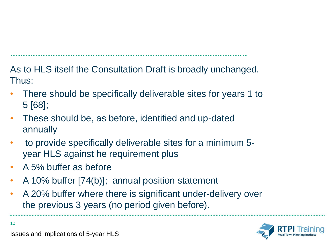As to HLS itself the Consultation Draft is broadly unchanged. Thus:

- There should be specifically deliverable sites for years 1 to 5 [68];
- These should be, as before, identified and up-dated annually
- to provide specifically deliverable sites for a minimum 5 year HLS against he requirement plus
- A 5% buffer as before
- A 10% buffer [74(b)]; annual position statement
- A 20% buffer where there is significant under-delivery over the previous 3 years (no period given before).



Issues and implications of 5-year HLS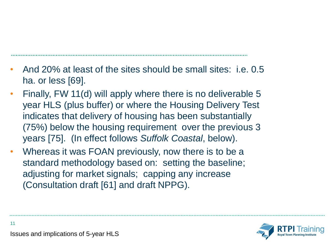- And 20% at least of the sites should be small sites: i.e. 0.5 ha. or less [69].
- Finally, FW 11(d) will apply where there is no deliverable 5 year HLS (plus buffer) or where the Housing Delivery Test indicates that delivery of housing has been substantially (75%) below the housing requirement over the previous 3 years [75]. (In effect follows *Suffolk Coastal*, below).
- Whereas it was FOAN previously, now there is to be a standard methodology based on: setting the baseline; adjusting for market signals; capping any increase (Consultation draft [61] and draft NPPG).

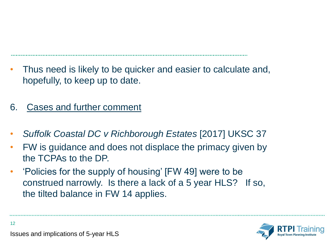- Thus need is likely to be quicker and easier to calculate and, hopefully, to keep up to date.
- 6. Cases and further comment
- *Suffolk Coastal DC v Richborough Estates* [2017] UKSC 37
- FW is guidance and does not displace the primacy given by the TCPAs to the DP.
- 'Policies for the supply of housing' [FW 49] were to be construed narrowly. Is there a lack of a 5 year HLS? If so, the tilted balance in FW 14 applies.

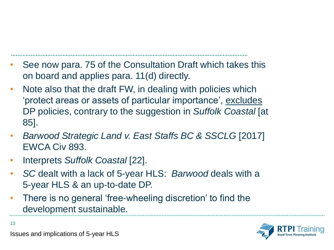- See now para. 75 of the Consultation Draft which takes this on board and applies para. 11(d) directly.
- Note also that the draft FW, in dealing with policies which 'protect areas or assets of particular importance', excludes DP policies, contrary to the suggestion in *Suffolk Coastal* [at 85].
- *Barwood Strategic Land v. East Staffs BC & SSCLG* [2017] EWCA Civ 893.
- Interprets *Suffolk Coastal* [22].
- *SC* dealt with a lack of 5-year HLS: *Barwood* deals with a 5-year HLS & an up-to-date DP.
- There is no general 'free-wheeling discretion' to find the development sustainable.

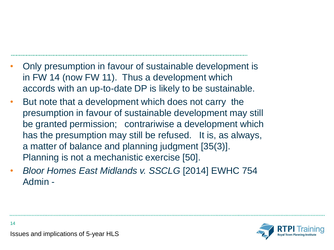- Only presumption in favour of sustainable development is in FW 14 (now FW 11). Thus a development which accords with an up-to-date DP is likely to be sustainable.
- But note that a development which does not carry the presumption in favour of sustainable development may still be granted permission; contrariwise a development which has the presumption may still be refused. It is, as always, a matter of balance and planning judgment [35(3)]. Planning is not a mechanistic exercise [50].
- *Bloor Homes East Midlands v. SSCLG* [2014] EWHC 754 Admin -

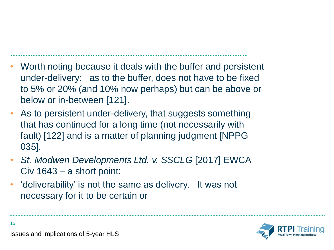- Worth noting because it deals with the buffer and persistent under-delivery: as to the buffer, does not have to be fixed to 5% or 20% (and 10% now perhaps) but can be above or below or in-between [121].
- As to persistent under-delivery, that suggests something that has continued for a long time (not necessarily with fault) [122] and is a matter of planning judgment [NPPG 035].
- *St. Modwen Developments Ltd. v. SSCLG* [2017] EWCA Civ 1643 – a short point:
- 'deliverability' is not the same as delivery. It was not necessary for it to be certain or

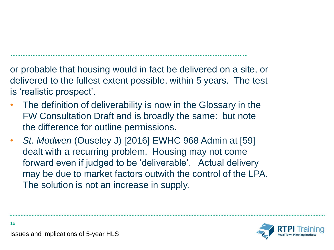or probable that housing would in fact be delivered on a site, or delivered to the fullest extent possible, within 5 years. The test is 'realistic prospect'.

- The definition of deliverability is now in the Glossary in the FW Consultation Draft and is broadly the same: but note the difference for outline permissions.
- *St. Modwen* (Ouseley J) [2016] EWHC 968 Admin at [59] dealt with a recurring problem. Housing may not come forward even if judged to be 'deliverable'. Actual delivery may be due to market factors outwith the control of the LPA. The solution is not an increase in supply.



Issues and implications of 5-year HLS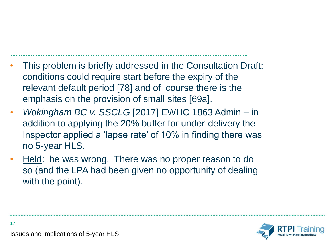- This problem is briefly addressed in the Consultation Draft: conditions could require start before the expiry of the relevant default period [78] and of course there is the emphasis on the provision of small sites [69a].
- *Wokingham BC v. SSCLG* [2017] EWHC 1863 Admin in addition to applying the 20% buffer for under-delivery the Inspector applied a 'lapse rate' of 10% in finding there was no 5-year HLS.
- Held: he was wrong. There was no proper reason to do so (and the LPA had been given no opportunity of dealing with the point).

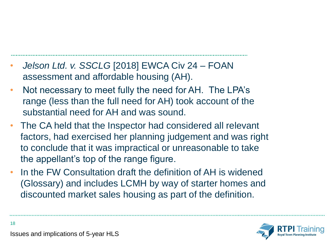- *Jelson Ltd. v. SSCLG* [2018] EWCA Civ 24 FOAN assessment and affordable housing (AH).
- Not necessary to meet fully the need for AH. The LPA's range (less than the full need for AH) took account of the substantial need for AH and was sound.
- The CA held that the Inspector had considered all relevant factors, had exercised her planning judgement and was right to conclude that it was impractical or unreasonable to take the appellant's top of the range figure.
- In the FW Consultation draft the definition of AH is widened (Glossary) and includes LCMH by way of starter homes and discounted market sales housing as part of the definition.

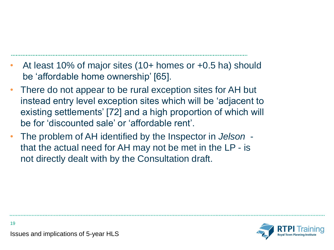- At least 10% of major sites (10+ homes or +0.5 ha) should be 'affordable home ownership' [65].
- There do not appear to be rural exception sites for AH but instead entry level exception sites which will be 'adjacent to existing settlements' [72] and a high proportion of which will be for 'discounted sale' or 'affordable rent'.
- The problem of AH identified by the Inspector in *Jelson* that the actual need for AH may not be met in the LP - is not directly dealt with by the Consultation draft.